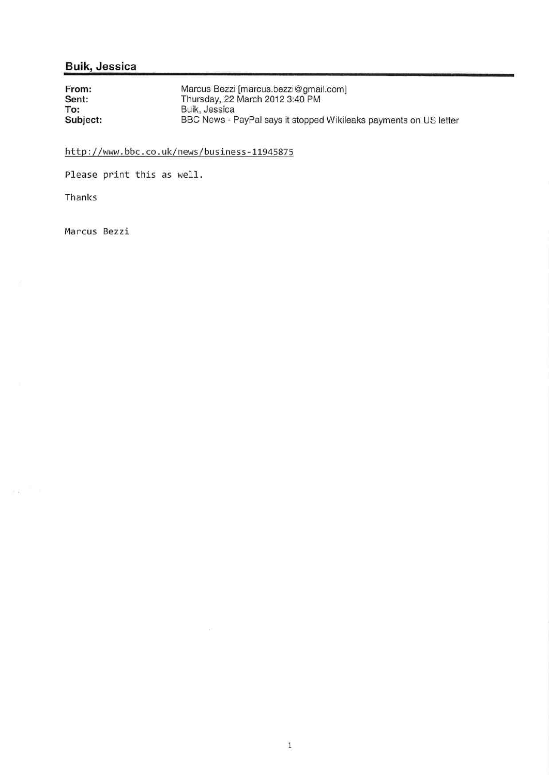## Buik, Jessica

| From:    | Marcus Bezzi [marcus.bezzi@gmail.com]<br>Thursday, 22 March 2012 3:40 PM |  |  |
|----------|--------------------------------------------------------------------------|--|--|
| Sent:    |                                                                          |  |  |
| To:      | Buik, Jessica                                                            |  |  |
| Subject: | BBC News - PayPal says it stopped Wikileaks payments on US letter        |  |  |

http://www.bbc.co.uk/news/business-11945875

Please print this as well.

Thanks

 $\mathbb{R}^{n-1}$  .

Marcus Bezzi

 $\sim$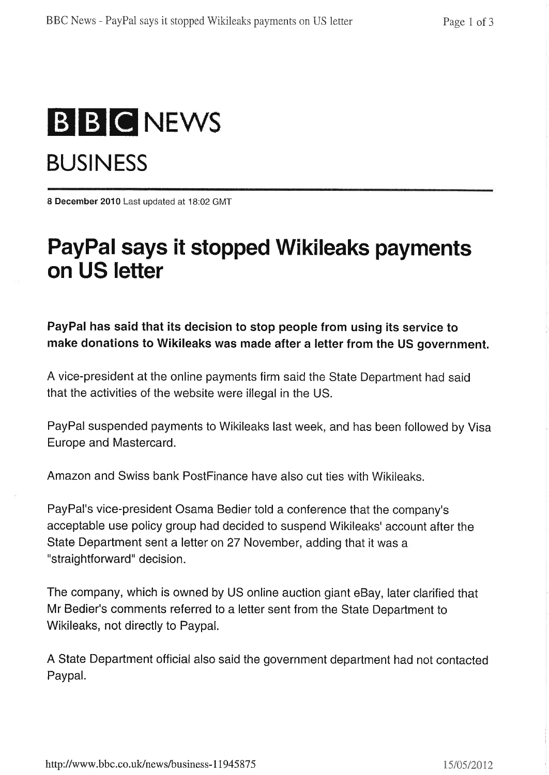

**BUSINESS** 

8 December 2010 Last updated at 18:02 GMT

# PayPal says it stopped Wikileaks payments on US letter

PayPal has said that its decision to stop people from using its service to make donations to Wikileaks was made after a letter from the US government.

A vice-president at the online payments firm said the State Department had said that the activities of the website were illegal in the US.

PayPal suspended payments to Wikileaks last week, and has been followed by Visa Europe and Mastercard.

Amazon and Swiss bank PostFinance have also cut ties with Wikileaks.

PayPal's vice-president Osama Bedier told a conference that the company's acceptable use policy group had decided to suspend Wikileaks' account after the State Department sent a letter on 27 November, adding that it was a "straightforward" decision.

The company, which is owned by US online auction giant eBay, later clarified that Mr Bedier's comments referred to a letter sent from the State Department to Wikileaks, not directly to Paypal.

A State Department official also said the government department had not contacted Paypal.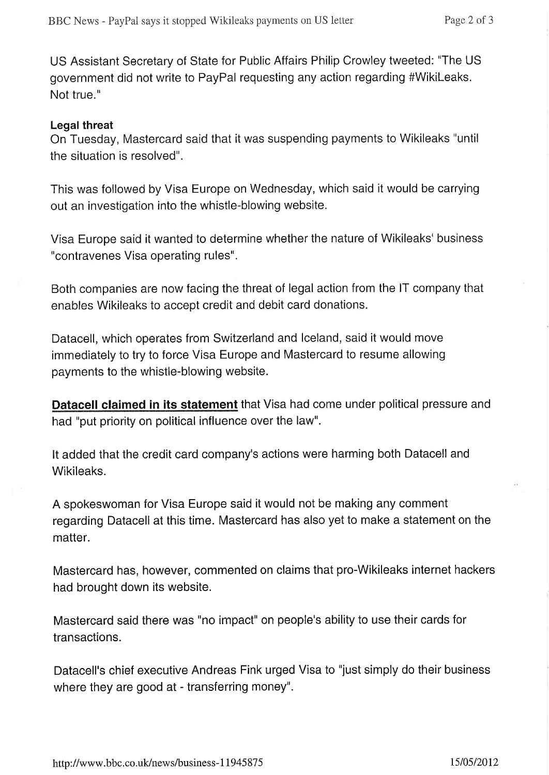US Assistant Secretary of State for Public Affairs Philip Crowley tweeted: "The US government did not write to PayPal requesting any action regarding #Wikileaks. Not true."

### Legal threat

On Tuesday, Mastercard said that it was suspending payments to Wikileaks "until the situation is resolved".

This was followed by Visa Europe on Wednesday, which said it would be carrying out an investigation into the whistle-blowing website.

Visa Europe said it wanted to determine whether the nature of Wikileaks' business "contravenes Visa operating rules".

Both companies are now facing the threat of legal action from the lT company that enables Wikileaks to accept credit and debit card donations.

Datacell, which operates from Switzerland and lceland, said it would move immediately to try to force Visa Europe and Mastercard to resume allowing payments to the whistle-blowing website.

Datacell claimed in its statement that Visa had come under political pressure and had "put priority on political influence over the law'.

It added that the credit card company's actions were harming both Datacell and Wikileaks.

A spokeswoman for Visa Europe said it would not be making any comment regarding Datacell at this time. Mastercard has also yet to make a statement on the matter.

Mastercard has, however, commented on claims that pro-Wikileaks internet hackers had brought down its website.

Mastercard said there was "no impact" on people's ability to use their cards for transactions.

Datacell's chief executive Andreas Fink urged Visa to "just simply do their business where they are good at - transferring money".